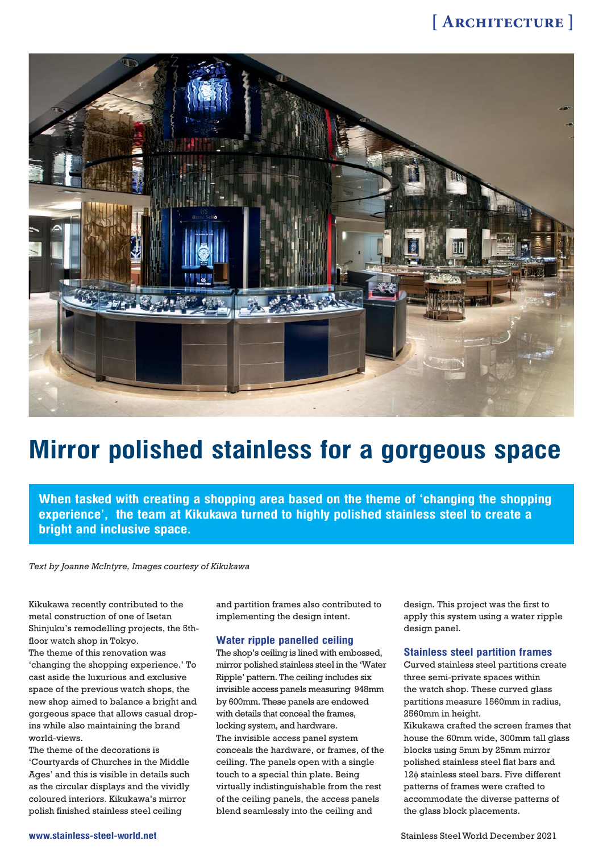

# **Mirror polished stainless for a gorgeous space**

**When tasked with creating a shopping area based on the theme of 'changing the shopping experience', the team at Kikukawa turned to highly polished stainless steel to create a bright and inclusive space.**

*Text by Joanne McIntyre, Images courtesy of Kikukawa*

Kikukawa recently contributed to the metal construction of one of Isetan Shinjuku's remodelling projects, the 5thfloor watch shop in Tokyo. The theme of this renovation was 'changing the shopping experience.' To cast aside the luxurious and exclusive space of the previous watch shops, the new shop aimed to balance a bright and gorgeous space that allows casual dropins while also maintaining the brand world-views.

The theme of the decorations is 'Courtyards of Churches in the Middle Ages' and this is visible in details such as the circular displays and the vividly coloured interiors. Kikukawa's mirror polish finished stainless steel ceiling

and partition frames also contributed to implementing the design intent.

#### **Water ripple panelled ceiling**

The shop's ceiling is lined with embossed, mirror polished stainless steel in the 'Water Ripple' pattern. The ceiling includes six invisible access panels measuring 948mm by 600mm. These panels are endowed with details that conceal the frames, locking system, and hardware. The invisible access panel system conceals the hardware, or frames, of the ceiling. The panels open with a single touch to a special thin plate. Being virtually indistinguishable from the rest of the ceiling panels, the access panels blend seamlessly into the ceiling and

design. This project was the first to apply this system using a water ripple design panel.

#### **Stainless steel partition frames**

Curved stainless steel partitions create three semi-private spaces within the watch shop. These curved glass partitions measure 1560mm in radius, 2560mm in height.

Kikukawa crafted the screen frames that house the 60mm wide, 300mm tall glass blocks using 5mm by 25mm mirror polished stainless steel flat bars and 12 $\phi$  stainless steel bars. Five different patterns of frames were crafted to accommodate the diverse patterns of the glass block placements.